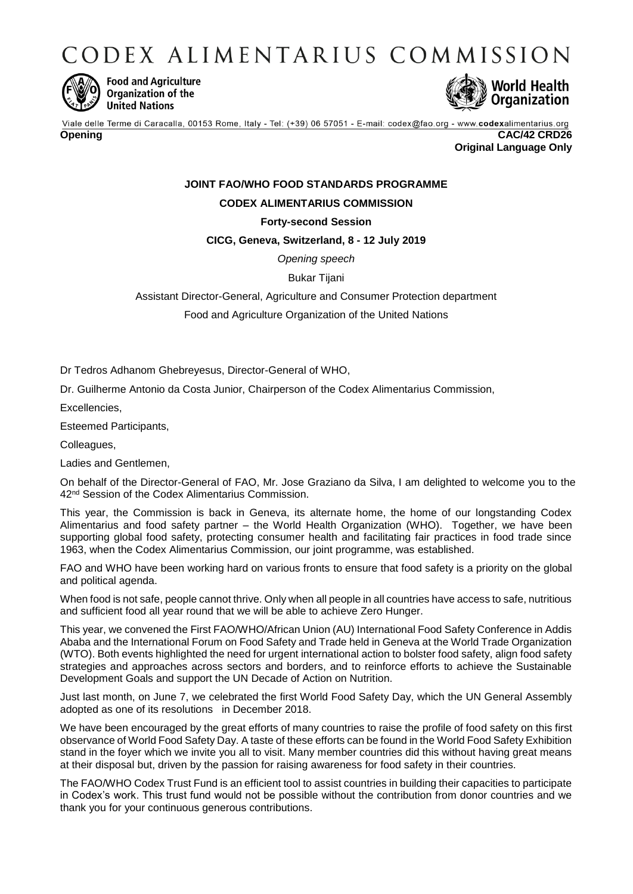CODEX ALIMENTARIUS COMMISSION



**Food and Agriculture** Organization of the **United Nations** 



Viale delle Terme di Caracalla, 00153 Rome, Italy - Tel: (+39) 06 57051 - E-mail: codex@fao.org - www.codexalimentarius.org **Opening CAC/42 CRD26 Original Language Only**

# **JOINT FAO/WHO FOOD STANDARDS PROGRAMME**

## **CODEX ALIMENTARIUS COMMISSION**

### **Forty-second Session**

#### **CICG, Geneva, Switzerland, 8 - 12 July 2019**

*Opening speech*

Bukar Tijani

Assistant Director-General, Agriculture and Consumer Protection department

Food and Agriculture Organization of the United Nations

Dr Tedros Adhanom Ghebreyesus, Director-General of WHO,

Dr. Guilherme Antonio da Costa Junior, Chairperson of the Codex Alimentarius Commission,

Excellencies,

Esteemed Participants,

Colleagues,

Ladies and Gentlemen,

On behalf of the Director-General of FAO, Mr. Jose Graziano da Silva, I am delighted to welcome you to the 42<sup>nd</sup> Session of the Codex Alimentarius Commission.

This year, the Commission is back in Geneva, its alternate home, the home of our longstanding Codex Alimentarius and food safety partner – the World Health Organization (WHO). Together, we have been supporting global food safety, protecting consumer health and facilitating fair practices in food trade since 1963, when the Codex Alimentarius Commission, our joint programme, was established.

FAO and WHO have been working hard on various fronts to ensure that food safety is a priority on the global and political agenda.

When food is not safe, people cannot thrive. Only when all people in all countries have access to safe, nutritious and sufficient food all year round that we will be able to achieve Zero Hunger.

This year, we convened the First FAO/WHO/African Union (AU) International Food Safety Conference in Addis Ababa and the International Forum on Food Safety and Trade held in Geneva at the World Trade Organization (WTO). Both events highlighted the need for urgent international action to bolster food safety, align food safety strategies and approaches across sectors and borders, and to reinforce efforts to achieve the Sustainable Development Goals and support the UN Decade of Action on Nutrition.

Just last month, on June 7, we celebrated the first World Food Safety Day, which the UN General Assembly adopted as one of its resolutions in December 2018.

We have been encouraged by the great efforts of many countries to raise the profile of food safety on this first observance of World Food Safety Day. A taste of these efforts can be found in the World Food Safety Exhibition stand in the foyer which we invite you all to visit. Many member countries did this without having great means at their disposal but, driven by the passion for raising awareness for food safety in their countries.

The FAO/WHO Codex Trust Fund is an efficient tool to assist countries in building their capacities to participate in Codex's work. This trust fund would not be possible without the contribution from donor countries and we thank you for your continuous generous contributions.